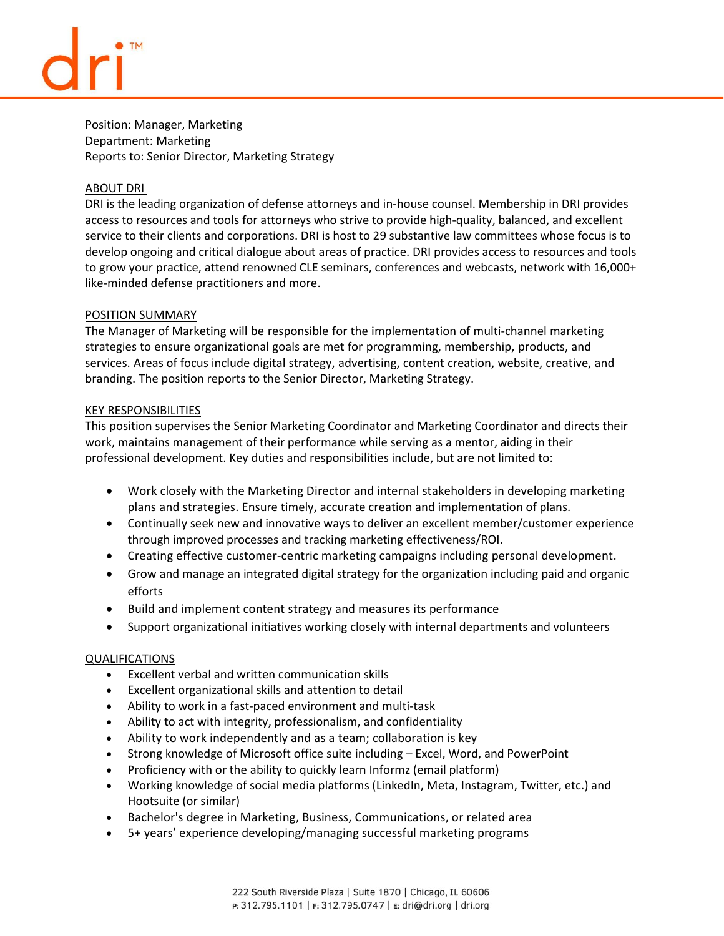Position: Manager, Marketing Department: Marketing Reports to: Senior Director, Marketing Strategy

## ABOUT DRI

DRI is the leading organization of defense attorneys and in-house counsel. Membership in DRI provides access to resources and tools for attorneys who strive to provide high-quality, balanced, and excellent service to their clients and corporations. DRI is host to 29 substantive law committees whose focus is to develop ongoing and critical dialogue about areas of practice. DRI provides access to resources and tools to grow your practice, attend renowned CLE seminars, conferences and webcasts, network with 16,000+ like-minded defense practitioners and more.

# POSITION SUMMARY

The Manager of Marketing will be responsible for the implementation of multi-channel marketing strategies to ensure organizational goals are met for programming, membership, products, and services. Areas of focus include digital strategy, advertising, content creation, website, creative, and branding. The position reports to the Senior Director, Marketing Strategy.

# KEY RESPONSIBILITIES

This position supervises the Senior Marketing Coordinator and Marketing Coordinator and directs their work, maintains management of their performance while serving as a mentor, aiding in their professional development. Key duties and responsibilities include, but are not limited to: 

- Work closely with the Marketing Director and internal stakeholders in developing marketing plans and strategies. Ensure timely, accurate creation and implementation of plans.
- Continually seek new and innovative ways to deliver an excellent member/customer experience through improved processes and tracking marketing effectiveness/ROI.
- Creating effective customer-centric marketing campaigns including personal development.
- Grow and manage an integrated digital strategy for the organization including paid and organic efforts
- Build and implement content strategy and measures its performance
- Support organizational initiatives working closely with internal departments and volunteers

# QUALIFICATIONS

- Excellent verbal and written communication skills
- Excellent organizational skills and attention to detail
- Ability to work in a fast-paced environment and multi-task
- Ability to act with integrity, professionalism, and confidentiality
- Ability to work independently and as a team; collaboration is key
- Strong knowledge of Microsoft office suite including Excel, Word, and PowerPoint
- Proficiency with or the ability to quickly learn Informz (email platform)
- Working knowledge of social media platforms (LinkedIn, Meta, Instagram, Twitter, etc.) and Hootsuite (or similar)
- Bachelor's degree in Marketing, Business, Communications, or related area
- 5+ years' experience developing/managing successful marketing programs